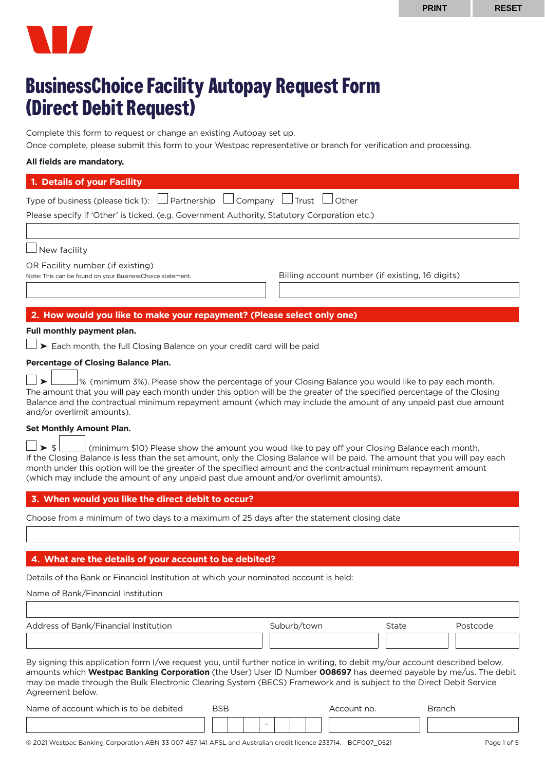

# **BusinessChoice Facility Autopay Request Form (Direct Debit Request)**

Complete this form to request or change an existing Autopay set up.

Once complete, please submit this form to your Westpac representative or branch for verification and processing.

# **All fields are mandatory.**

| 1. Details of your Facility                                                                   |  |  |  |  |
|-----------------------------------------------------------------------------------------------|--|--|--|--|
| Type of business (please tick 1): $\Box$ Partnership $\Box$ Company $\Box$ Trust $\Box$ Other |  |  |  |  |
| Please specify if 'Other' is ticked. (e.g. Government Authority, Statutory Corporation etc.)  |  |  |  |  |
|                                                                                               |  |  |  |  |
|                                                                                               |  |  |  |  |

 $\Box$  New facility

OR Facility number (if existing)

Note: This can be found on your BusinessChoice statement. Billing account number (if existing, 16 digits)

# **2. How would you like to make your repayment? (Please select only one)**

# **Full monthly payment plan.**

 $\Box$   $\triangleright$  Each month, the full Closing Balance on your credit card will be paid

## **Percentage of Closing Balance Plan.**

 $\Box\blacktriangleright\Box\blacktriangleright\Diamond$  (minimum 3%). Please show the percentage of your Closing Balance you would like to pay each month. The amount that you will pay each month under this option will be the greater of the specified percentage of the Closing Balance and the contractual minimum repayment amount (which may include the amount of any unpaid past due amount and/or overlimit amounts).

## **Set Monthly Amount Plan.**

 $\Box \triangleright \$  $\Box$  (minimum \$10) Please show the amount you woud like to pay off your Closing Balance each month. If the Closing Balance is less than the set amount, only the Closing Balance will be paid. The amount that you will pay each month under this option will be the greater of the specified amount and the contractual minimum repayment amount (which may include the amount of any unpaid past due amount and/or overlimit amounts).

# **3. When would you like the direct debit to occur?**

Choose from a minimum of two days to a maximum of 25 days after the statement closing date

# **4. What are the details of your account to be debited?**

Details of the Bank or Financial Institution at which your nominated account is held:

Name of Bank/Financial Institution

| Address of Bank/Financial Institution                                                                                                                                                                                                             | Suburb/town | State | Postcode |  |  |  |  |
|---------------------------------------------------------------------------------------------------------------------------------------------------------------------------------------------------------------------------------------------------|-------------|-------|----------|--|--|--|--|
|                                                                                                                                                                                                                                                   |             |       |          |  |  |  |  |
| By signing this application form I/we request you, until further notice in writing, to debit my/our account described below,<br>amounts which Westpac Banking Corporation (the User) User ID Number 008697 has deemed payable by me/us. The debit |             |       |          |  |  |  |  |

may be made through the Bulk Electronic Clearing System (BECS) Framework and is subject to the Direct Debit Service Agreement below.

| Name of account which is to be debited | BSB |  |                          |  |  | Account no. | Branch |
|----------------------------------------|-----|--|--------------------------|--|--|-------------|--------|
|                                        |     |  | $\overline{\phantom{0}}$ |  |  |             |        |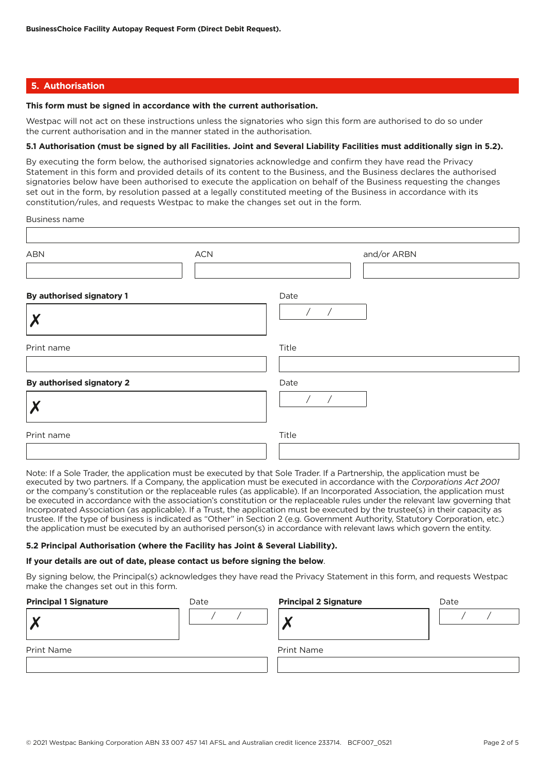## **5. Authorisation**

#### **This form must be signed in accordance with the current authorisation.**

Westpac will not act on these instructions unless the signatories who sign this form are authorised to do so under the current authorisation and in the manner stated in the authorisation.

## **5.1 Authorisation (must be signed by all Facilities. Joint and Several Liability Facilities must additionally sign in 5.2).**

By executing the form below, the authorised signatories acknowledge and confirm they have read the Privacy Statement in this form and provided details of its content to the Business, and the Business declares the authorised signatories below have been authorised to execute the application on behalf of the Business requesting the changes set out in the form, by resolution passed at a legally constituted meeting of the Business in accordance with its constitution/rules, and requests Westpac to make the changes set out in the form.

Business name

| <b>ABN</b>                | <b>ACN</b> | and/or ARBN        |
|---------------------------|------------|--------------------|
| By authorised signatory 1 |            | Date<br>$\sqrt{2}$ |
| Print name                |            | Title              |
| By authorised signatory 2 |            | Date               |
|                           |            |                    |
| Print name                |            | Title              |

Note: If a Sole Trader, the application must be executed by that Sole Trader. If a Partnership, the application must be executed by two partners. If a Company, the application must be executed in accordance with the *Corporations Act 2001* or the company's constitution or the replaceable rules (as applicable). If an Incorporated Association, the application must be executed in accordance with the association's constitution or the replaceable rules under the relevant law governing that Incorporated Association (as applicable). If a Trust, the application must be executed by the trustee(s) in their capacity as trustee. If the type of business is indicated as "Other" in Section 2 (e.g. Government Authority, Statutory Corporation, etc.) the application must be executed by an authorised person(s) in accordance with relevant laws which govern the entity.

#### **5.2 Principal Authorisation (where the Facility has Joint & Several Liability).**

#### **If your details are out of date, please contact us before signing the below**.

By signing below, the Principal(s) acknowledges they have read the Privacy Statement in this form, and requests Westpac make the changes set out in this form.

| <b>Principal 1 Signature</b> | Date | <b>Principal 2 Signature</b> | Date |
|------------------------------|------|------------------------------|------|
| v                            |      |                              |      |
| <b>Print Name</b>            |      | Print Name                   |      |
|                              |      |                              |      |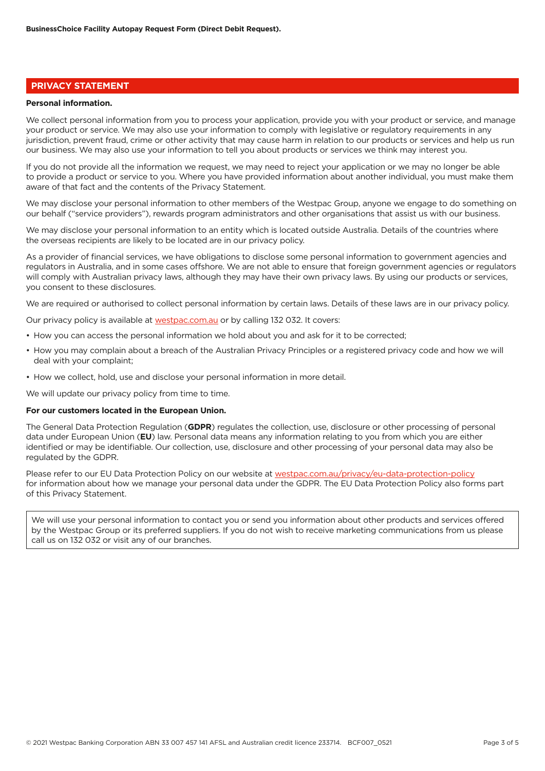# **PRIVACY STATEMENT**

#### **Personal information.**

We collect personal information from you to process your application, provide you with your product or service, and manage your product or service. We may also use your information to comply with legislative or regulatory requirements in any jurisdiction, prevent fraud, crime or other activity that may cause harm in relation to our products or services and help us run our business. We may also use your information to tell you about products or services we think may interest you.

If you do not provide all the information we request, we may need to reject your application or we may no longer be able to provide a product or service to you. Where you have provided information about another individual, you must make them aware of that fact and the contents of the Privacy Statement.

We may disclose your personal information to other members of the Westpac Group, anyone we engage to do something on our behalf ("service providers"), rewards program administrators and other organisations that assist us with our business.

We may disclose your personal information to an entity which is located outside Australia. Details of the countries where the overseas recipients are likely to be located are in our privacy policy.

As a provider of financial services, we have obligations to disclose some personal information to government agencies and regulators in Australia, and in some cases offshore. We are not able to ensure that foreign government agencies or regulators will comply with Australian privacy laws, although they may have their own privacy laws. By using our products or services, you consent to these disclosures.

We are required or authorised to collect personal information by certain laws. Details of these laws are in our privacy policy.

Our privacy policy is available at [westpac.com.au](http://westpac.com.au) or by calling 132 032. It covers:

- How you can access the personal information we hold about you and ask for it to be corrected;
- How you may complain about a breach of the Australian Privacy Principles or a registered privacy code and how we will deal with your complaint;
- How we collect, hold, use and disclose your personal information in more detail.

We will update our privacy policy from time to time.

# **For our customers located in the European Union.**

The General Data Protection Regulation (**GDPR**) regulates the collection, use, disclosure or other processing of personal data under European Union (**EU**) law. Personal data means any information relating to you from which you are either identified or may be identifiable. Our collection, use, disclosure and other processing of your personal data may also be regulated by the GDPR.

Please refer to our EU Data Protection Policy on our website at [westpac.com.au/privacy/eu-data-protection-policy](http://westpac.com.au/privacy/eu-data-protection-policy) for information about how we manage your personal data under the GDPR. The EU Data Protection Policy also forms part of this Privacy Statement.

We will use your personal information to contact you or send you information about other products and services offered by the Westpac Group or its preferred suppliers. If you do not wish to receive marketing communications from us please call us on 132 032 or visit any of our branches.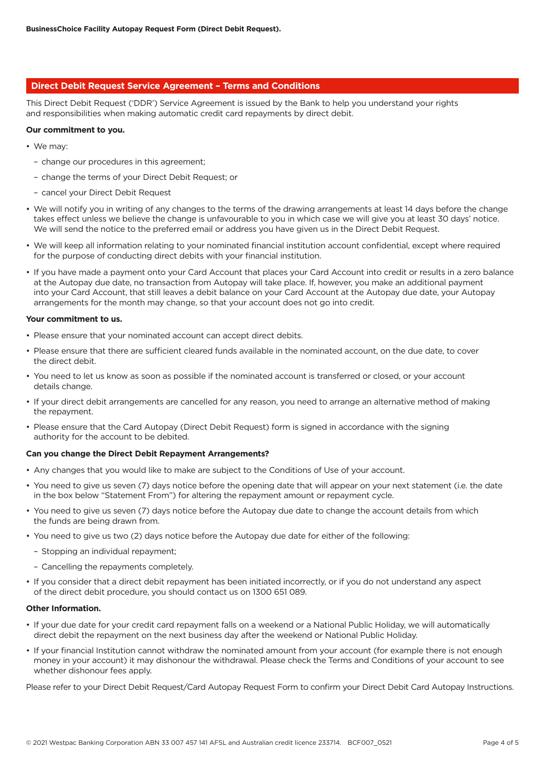## **Direct Debit Request Service Agreement – Terms and Conditions**

This Direct Debit Request ('DDR') Service Agreement is issued by the Bank to help you understand your rights and responsibilities when making automatic credit card repayments by direct debit.

#### **Our commitment to you.**

- We may:
	- change our procedures in this agreement;
	- change the terms of your Direct Debit Request; or
	- cancel your Direct Debit Request
- We will notify you in writing of any changes to the terms of the drawing arrangements at least 14 days before the change takes effect unless we believe the change is unfavourable to you in which case we will give you at least 30 days' notice. We will send the notice to the preferred email or address you have given us in the Direct Debit Request.
- We will keep all information relating to your nominated financial institution account confidential, except where required for the purpose of conducting direct debits with your financial institution.
- If you have made a payment onto your Card Account that places your Card Account into credit or results in a zero balance at the Autopay due date, no transaction from Autopay will take place. If, however, you make an additional payment into your Card Account, that still leaves a debit balance on your Card Account at the Autopay due date, your Autopay arrangements for the month may change, so that your account does not go into credit.

#### **Your commitment to us.**

- Please ensure that your nominated account can accept direct debits.
- Please ensure that there are sufficient cleared funds available in the nominated account, on the due date, to cover the direct debit.
- You need to let us know as soon as possible if the nominated account is transferred or closed, or your account details change.
- If your direct debit arrangements are cancelled for any reason, you need to arrange an alternative method of making the repayment.
- Please ensure that the Card Autopay (Direct Debit Request) form is signed in accordance with the signing authority for the account to be debited.

#### **Can you change the Direct Debit Repayment Arrangements?**

- Any changes that you would like to make are subject to the Conditions of Use of your account.
- You need to give us seven (7) days notice before the opening date that will appear on your next statement (i.e. the date in the box below "Statement From") for altering the repayment amount or repayment cycle.
- You need to give us seven (7) days notice before the Autopay due date to change the account details from which the funds are being drawn from.
- You need to give us two (2) days notice before the Autopay due date for either of the following:
	- Stopping an individual repayment;
	- Cancelling the repayments completely.
- If you consider that a direct debit repayment has been initiated incorrectly, or if you do not understand any aspect of the direct debit procedure, you should contact us on 1300 651 089.

#### **Other Information.**

- If your due date for your credit card repayment falls on a weekend or a National Public Holiday, we will automatically direct debit the repayment on the next business day after the weekend or National Public Holiday.
- If your financial Institution cannot withdraw the nominated amount from your account (for example there is not enough money in your account) it may dishonour the withdrawal. Please check the Terms and Conditions of your account to see whether dishonour fees apply.

Please refer to your Direct Debit Request/Card Autopay Request Form to confirm your Direct Debit Card Autopay Instructions.